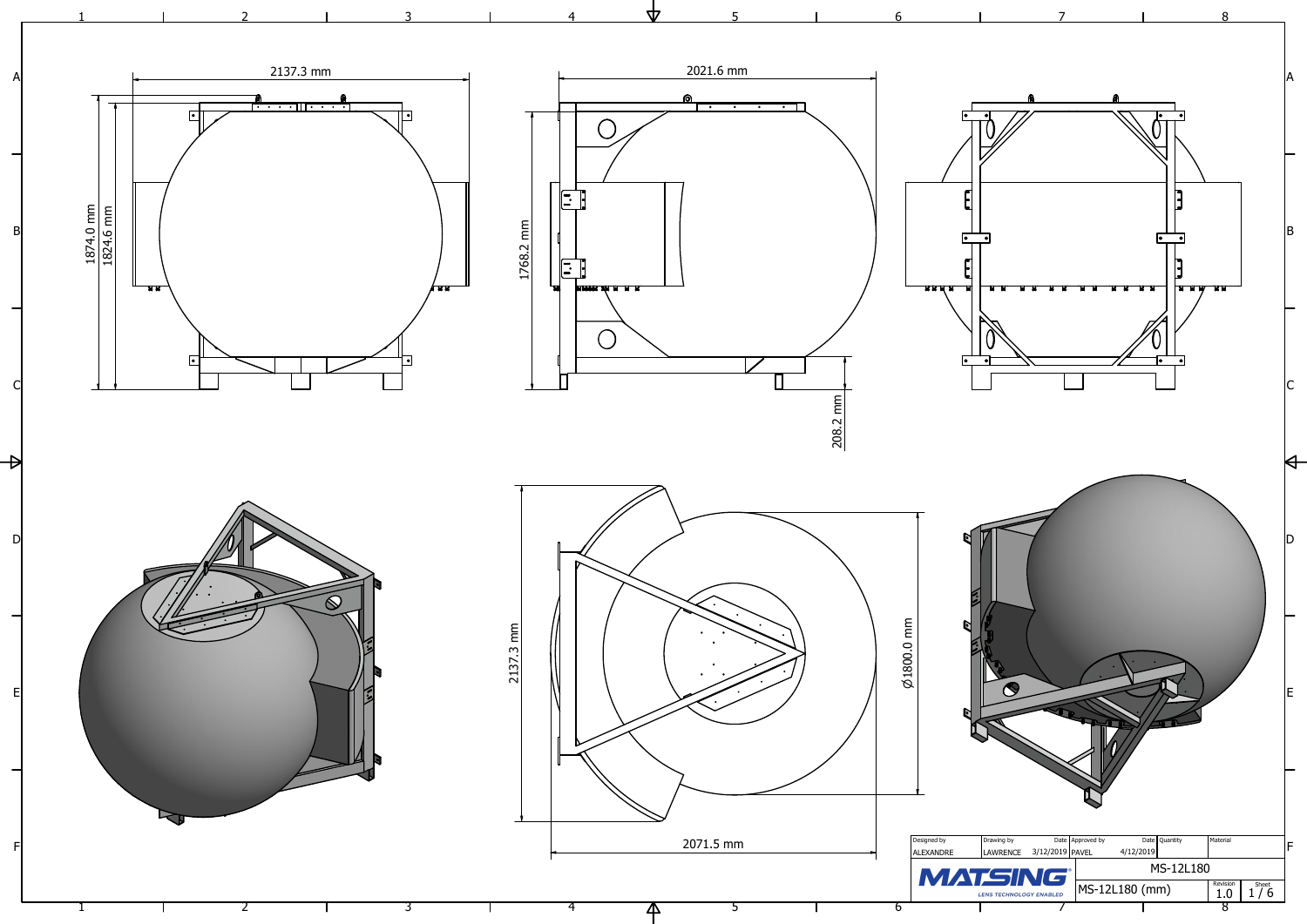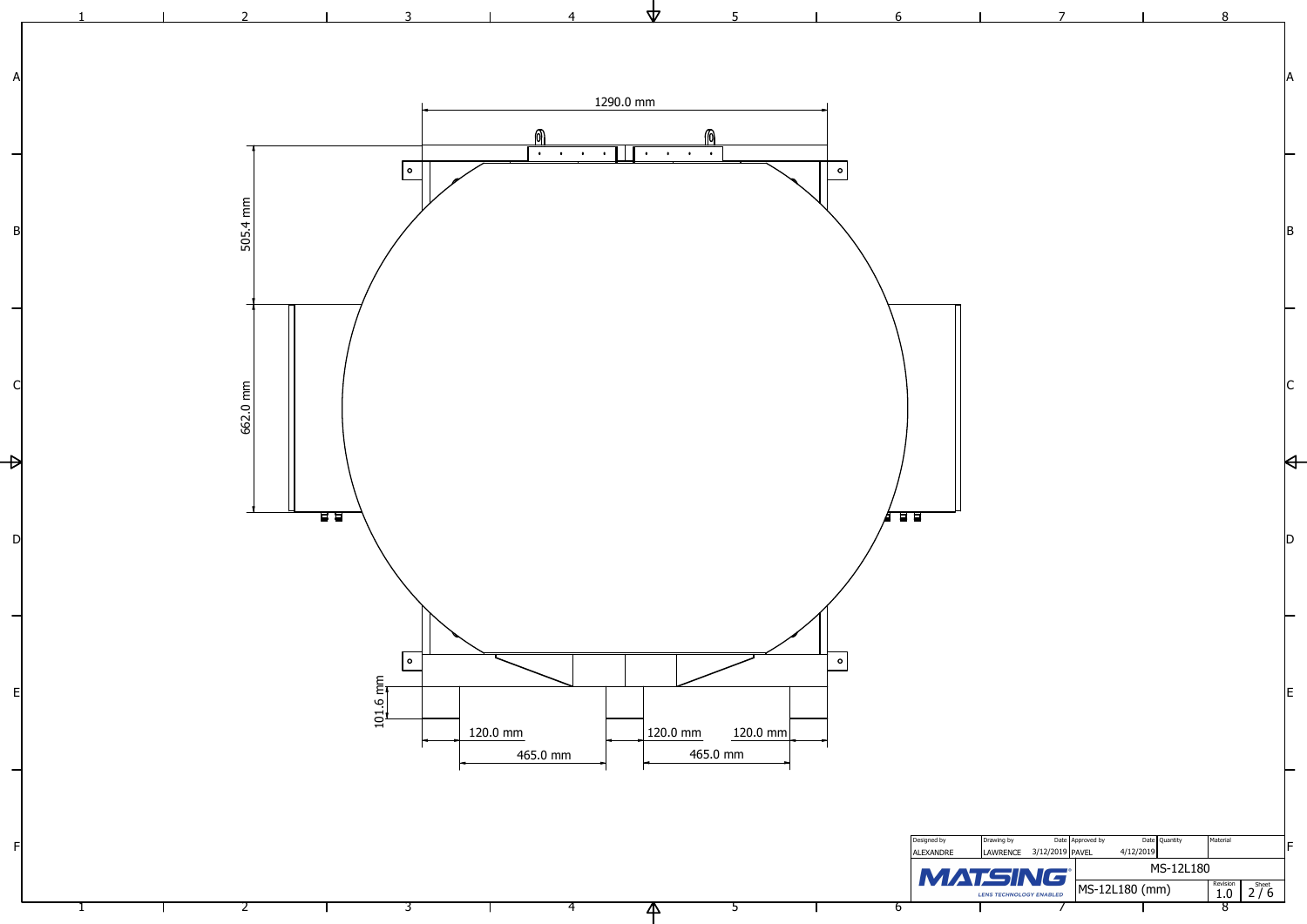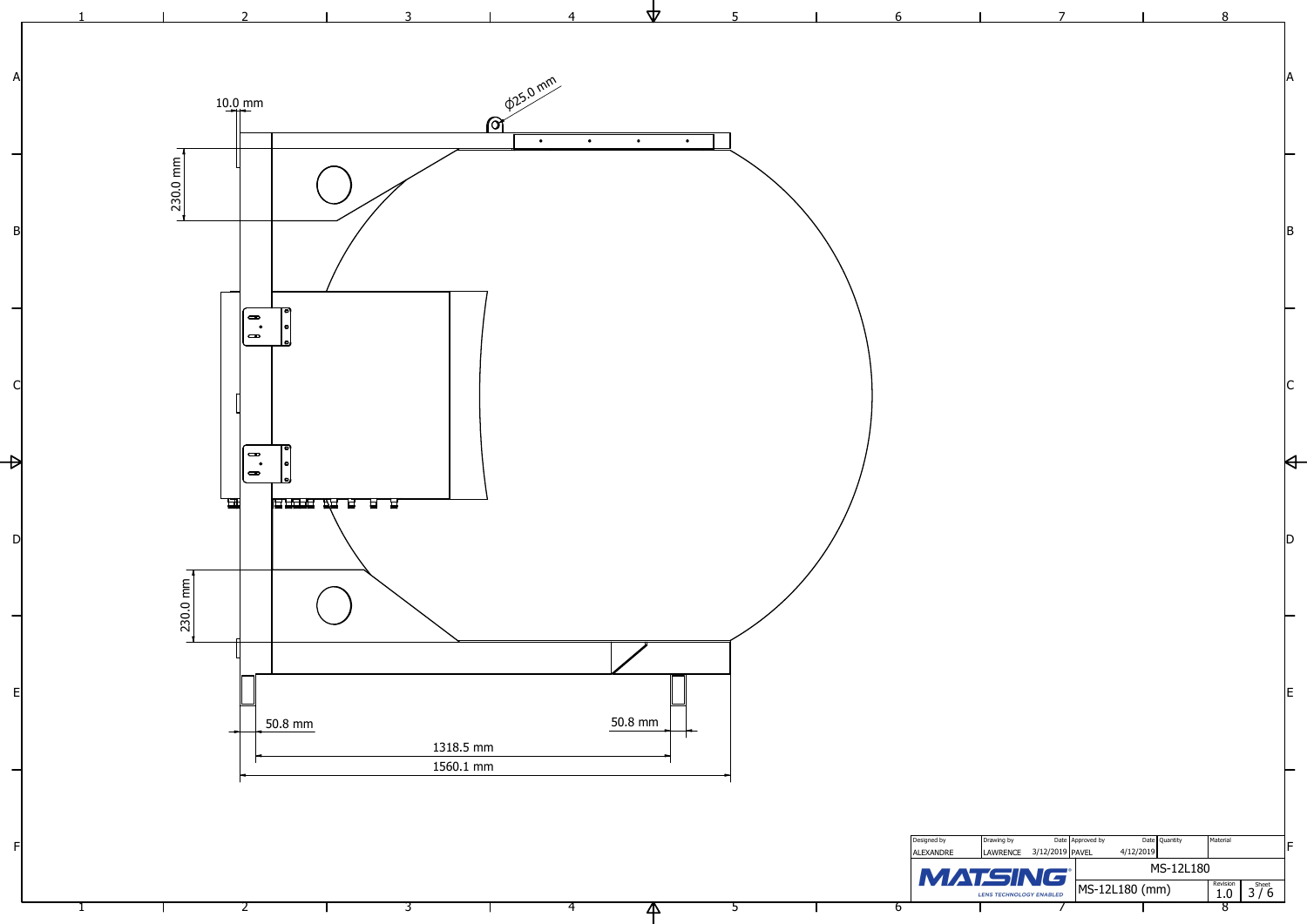

| 5              | 6                               |                         | 7                                   |                            | 8                       |
|----------------|---------------------------------|-------------------------|-------------------------------------|----------------------------|-------------------------|
|                |                                 |                         |                                     |                            |                         |
|                |                                 |                         |                                     |                            |                         |
|                |                                 |                         |                                     |                            | A                       |
|                |                                 |                         |                                     |                            |                         |
|                |                                 |                         |                                     |                            |                         |
|                |                                 |                         |                                     |                            |                         |
|                |                                 |                         |                                     |                            |                         |
|                |                                 |                         |                                     |                            |                         |
|                |                                 |                         |                                     |                            | B                       |
|                |                                 |                         |                                     |                            |                         |
|                |                                 |                         |                                     |                            |                         |
|                |                                 |                         |                                     |                            |                         |
|                |                                 |                         |                                     |                            |                         |
|                |                                 |                         |                                     |                            |                         |
|                |                                 |                         |                                     |                            | $\mathsf C$             |
|                |                                 |                         |                                     |                            |                         |
|                |                                 |                         |                                     |                            |                         |
|                |                                 |                         |                                     |                            | $\blacktriangleleft$    |
|                |                                 |                         |                                     |                            |                         |
|                |                                 |                         |                                     |                            |                         |
|                |                                 |                         |                                     |                            | $\bm{\mathsf{D}}$       |
|                |                                 |                         |                                     |                            |                         |
|                |                                 |                         |                                     |                            |                         |
|                |                                 |                         |                                     |                            |                         |
|                |                                 |                         |                                     |                            |                         |
|                |                                 |                         |                                     |                            |                         |
|                |                                 |                         |                                     |                            | İΕ                      |
|                |                                 |                         |                                     |                            |                         |
|                |                                 |                         |                                     |                            |                         |
|                |                                 |                         |                                     |                            |                         |
|                |                                 |                         |                                     |                            |                         |
|                |                                 |                         |                                     |                            |                         |
|                |                                 |                         |                                     |                            |                         |
|                | Designed by<br><b>ALEXANDRE</b> | Drawing by<br>LAWRENCE  | Date Approved by<br>3/12/2019 PAVEL | Date Quantity<br>4/12/2019 | Material<br>IF          |
|                |                                 | <b>MATSING</b>          |                                     | MS-12L180                  | Revision                |
| $\overline{5}$ | $\overline{6}$                  | LENS TECHNOLOGY ENABLED |                                     | MS-12L180 (mm)             | $3^{Sheet}$<br>1.0<br>8 |

÷.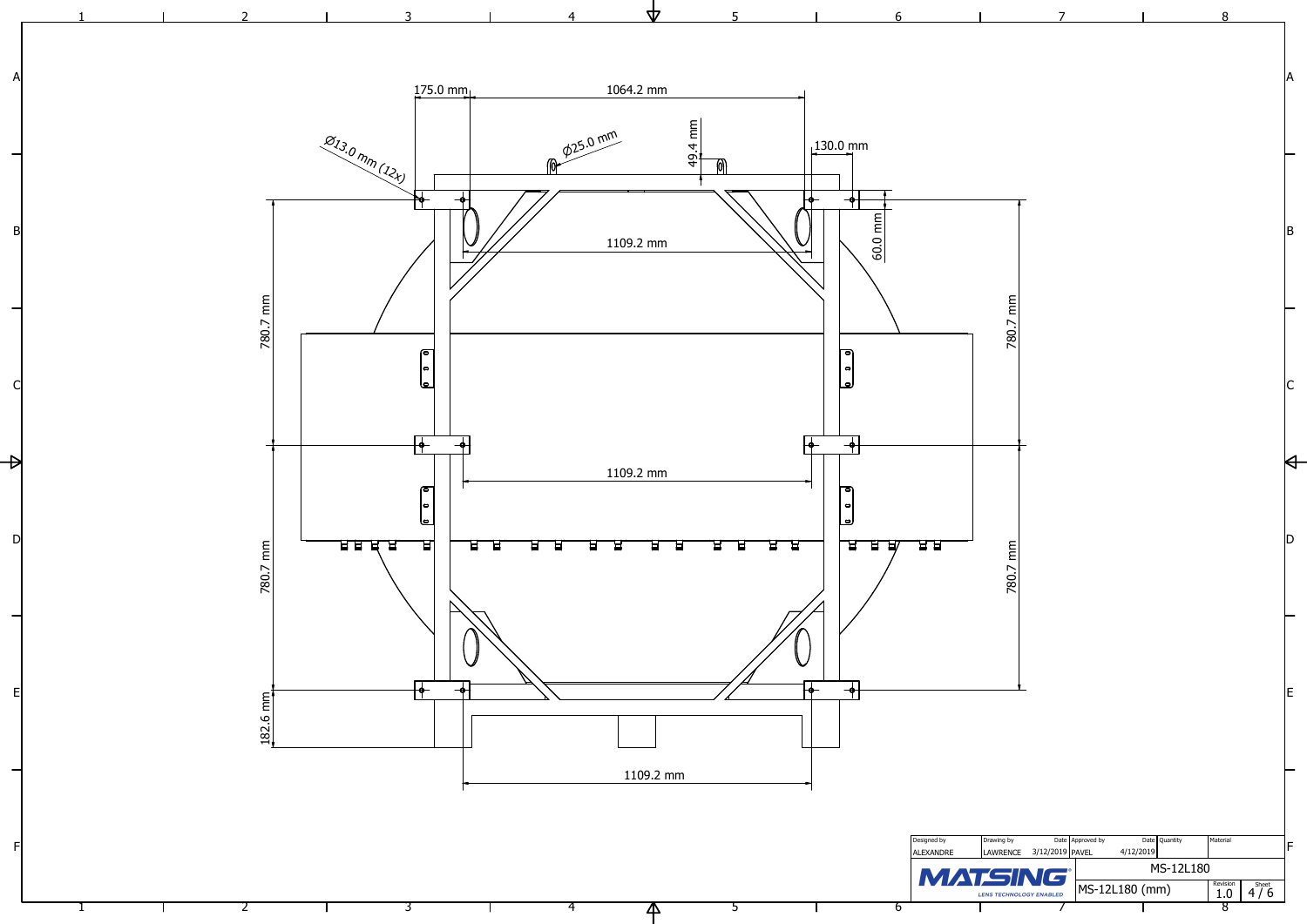![](_page_3_Figure_0.jpeg)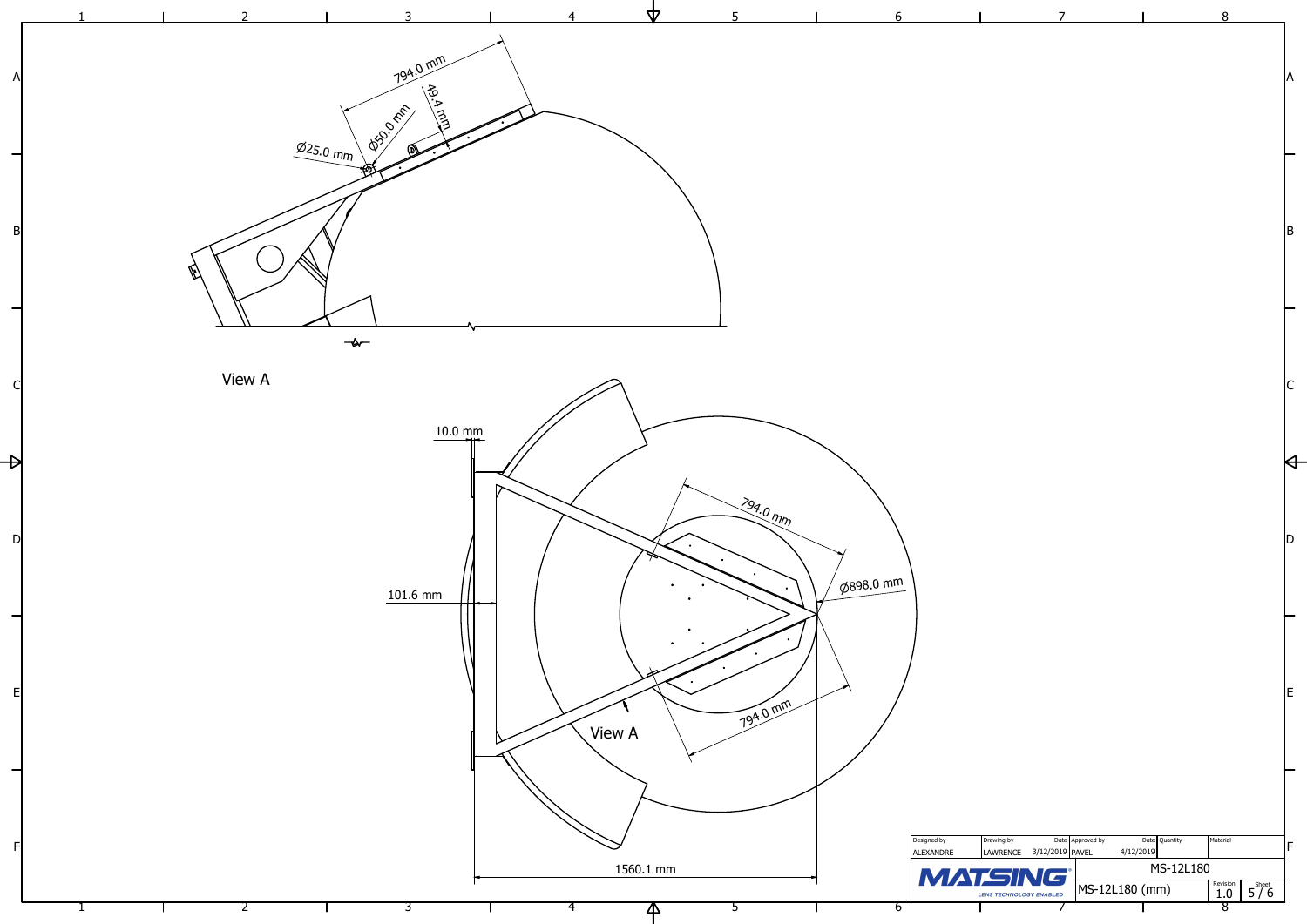![](_page_4_Figure_0.jpeg)